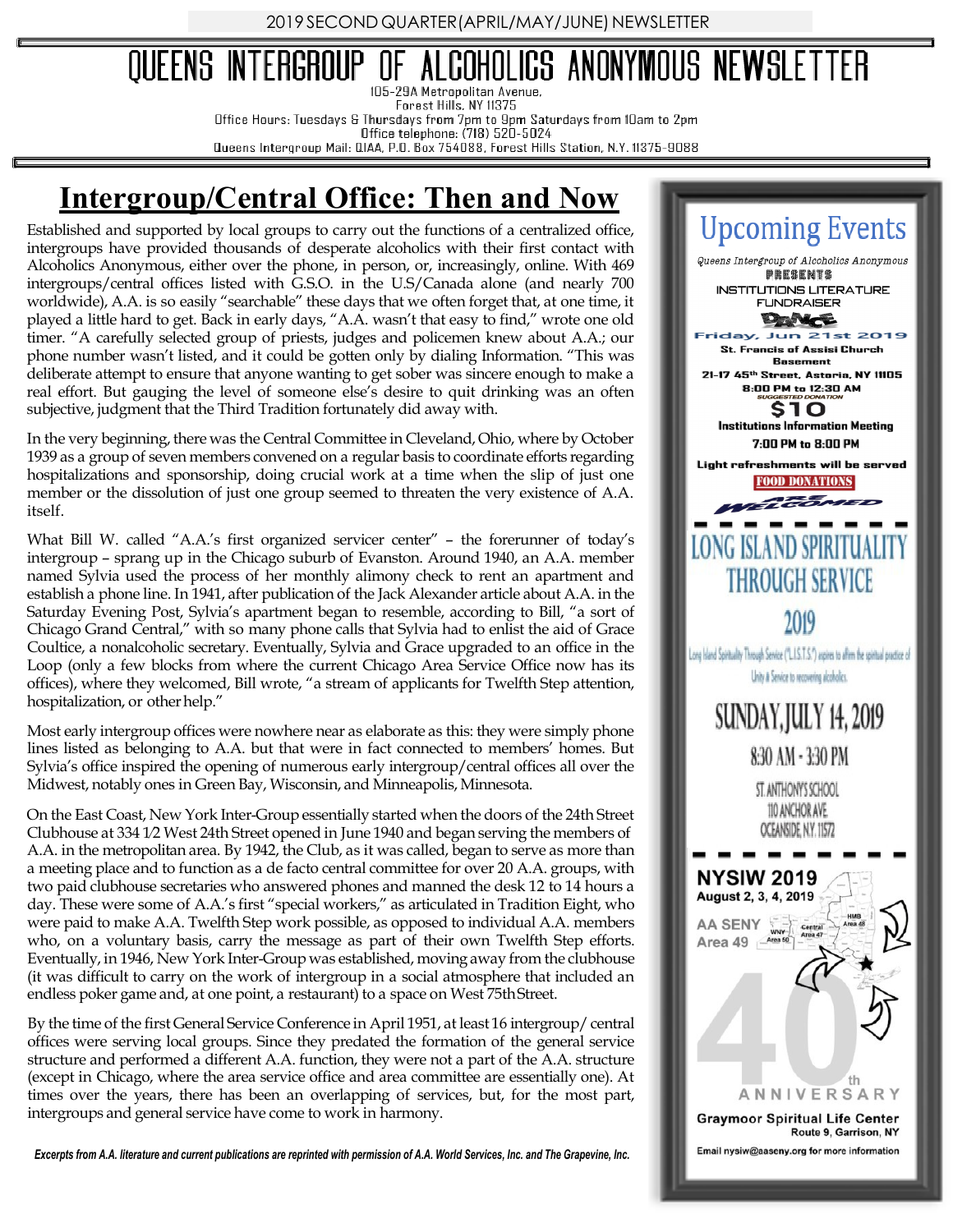2019 SECOND QUARTER (APRIL/MAY/JUNE) NEWSLETTER

## COHOLICS ANONYMOUS NEWSLETTER QUEENS INTERGROUP 105-29A Metropolitan Avenue.

Forest Hills, NY 11375

Office Hours: Tuesdays & Thursdays from 7pm to 9pm Saturdays from IOam to 2pm

Office telephone: (718) 520-5024 Queens Intergroup Mail: QIAA, P.O. Box 754088, Forest Hills Station, N.Y. 11375-9088

## **Intergroup/Central Office: Then and Now**

Established and supported by local groups to carry out the functions of a centralized office, intergroups have provided thousands of desperate alcoholics with their first contact with Alcoholics Anonymous, either over the phone, in person, or, increasingly, online. With 469 intergroups/central offices listed with G.S.O. in the U.S/Canada alone (and nearly 700 worldwide), A.A. is so easily "searchable" these days that we often forget that, at one time, it played a little hard to get. Back in early days, "A.A. wasn't that easy to find," wrote one old timer. "A carefully selected group of priests, judges and policemen knew about A.A.; our phone number wasn't listed, and it could be gotten only by dialing Information. "This was deliberate attempt to ensure that anyone wanting to get sober was sincere enough to make a real effort. But gauging the level of someone else's desire to quit drinking was an often subjective, judgment that the Third Tradition fortunately did away with.

In the very beginning, there was the Central Committee in Cleveland, Ohio, where by October 1939 as a group of seven members convened on a regular basis to coordinate efforts regarding hospitalizations and sponsorship, doing crucial work at a time when the slip of just one member or the dissolution of just one group seemed to threaten the very existence of A.A. itself.

What Bill W. called "A.A.'s first organized servicer center" – the forerunner of today's intergroup – sprang up in the Chicago suburb of Evanston. Around 1940, an A.A. member named Sylvia used the process of her monthly alimony check to rent an apartment and establish a phone line. In 1941, after publication of the Jack Alexander article about A.A. in the Saturday Evening Post, Sylvia's apartment began to resemble, according to Bill, "a sort of Chicago Grand Central," with so many phone calls that Sylvia had to enlist the aid of Grace Coultice, a nonalcoholic secretary. Eventually, Sylvia and Grace upgraded to an office in the Loop (only a few blocks from where the current Chicago Area Service Office now has its offices), where they welcomed, Bill wrote, "a stream of applicants for Twelfth Step attention, hospitalization, or other help."

Most early intergroup offices were nowhere near as elaborate as this: they were simply phone lines listed as belonging to A.A. but that were in fact connected to members' homes. But Sylvia's office inspired the opening of numerous early intergroup/central offices all over the Midwest, notably ones in Green Bay, Wisconsin, and Minneapolis, Minnesota.

On the East Coast, New York Inter-Group essentially started when the doors of the 24th Street Clubhouse at 334 1⁄2 West 24th Street opened in June 1940 and began serving the members of A.A. in the metropolitan area. By 1942, the Club, as it was called, began to serve as more than a meeting place and to function as a de facto central committee for over 20 A.A. groups, with two paid clubhouse secretaries who answered phones and manned the desk 12 to 14 hours a day. These were some of A.A.'s first "special workers," as articulated in Tradition Eight, who were paid to make A.A. Twelfth Step work possible, as opposed to individual A.A. members who, on a voluntary basis, carry the message as part of their own Twelfth Step efforts. Eventually, in 1946, New York Inter-Group was established, moving away from the clubhouse (it was difficult to carry on the work of intergroup in a social atmosphere that included an endless poker game and, at one point, a restaurant) to a space on West 75thStreet.

By the time of the first General Service Conference in April 1951, at least 16 intergroup/central offices were serving local groups. Since they predated the formation of the general service structure and performed a different A.A. function, they were not a part of the A.A. structure (except in Chicago, where the area service office and area committee are essentially one). At times over the years, there has been an overlapping of services, but, for the most part, intergroups and general service have come to work in harmony.

*Excerpts from A.A. literature and current publications are reprinted with permission of A.A. World Services, Inc. and The Grapevine, Inc.*